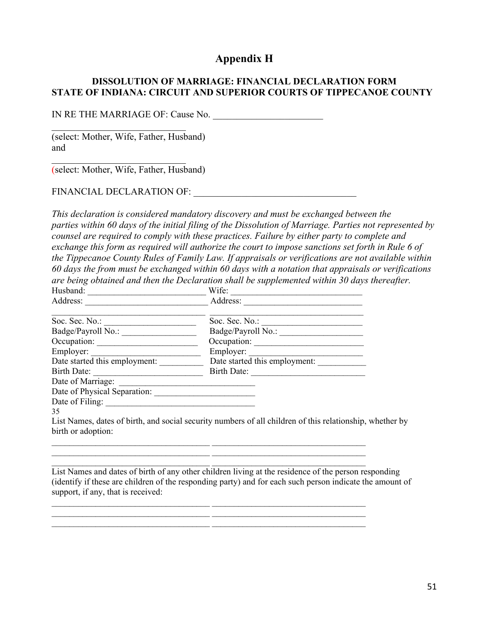# **Appendix H**

# **DISSOLUTION OF MARRIAGE: FINANCIAL DECLARATION FORM STATE OF INDIANA: CIRCUIT AND SUPERIOR COURTS OF TIPPECANOE COUNTY**

IN RE THE MARRIAGE OF: Cause No.

(select: Mother, Wife, Father, Husband) and

(select: Mother, Wife, Father, Husband)

FINANCIAL DECLARATION OF: \_\_\_\_\_\_\_\_\_\_\_\_\_\_\_\_\_\_\_\_\_\_\_\_\_\_\_\_\_\_\_\_\_\_

 $\mathcal{L}_\mathcal{L}$  , which is a set of the set of the set of the set of the set of the set of the set of the set of the set of the set of the set of the set of the set of the set of the set of the set of the set of the set of

*This declaration is considered mandatory discovery and must be exchanged between the parties within 60 days of the initial filing of the Dissolution of Marriage. Parties not represented by counsel are required to comply with these practices. Failure by either party to complete and exchange this form as required will authorize the court to impose sanctions set forth in Rule 6 of the Tippecanoe County Rules of Family Law. If appraisals or verifications are not available within 60 days the from must be exchanged within 60 days with a notation that appraisals or verifications are being obtained and then the Declaration shall be supplemented within 30 days thereafter.*

| Husband:                      | Wife:                                                                                                                                                                                                                 |  |  |
|-------------------------------|-----------------------------------------------------------------------------------------------------------------------------------------------------------------------------------------------------------------------|--|--|
| Address:                      | Address:                                                                                                                                                                                                              |  |  |
| Soc. Sec. No.:                | Soc. Sec. No.:                                                                                                                                                                                                        |  |  |
| Badge/Payroll No.:            | Badge/Payroll No.:                                                                                                                                                                                                    |  |  |
| Occupation:                   | Occupation:                                                                                                                                                                                                           |  |  |
| Employer:                     | Employer:                                                                                                                                                                                                             |  |  |
| Date started this employment: | Date started this employment:                                                                                                                                                                                         |  |  |
| Birth Date:                   | Birth Date:                                                                                                                                                                                                           |  |  |
| Date of Marriage:             |                                                                                                                                                                                                                       |  |  |
| Date of Physical Separation:  |                                                                                                                                                                                                                       |  |  |
| Date of Filing:               |                                                                                                                                                                                                                       |  |  |
| 35                            |                                                                                                                                                                                                                       |  |  |
|                               | $\mathbf{r}$ is $\mathbf{M}$ and $\mathbf{r}$ is a set of $\mathbf{A}$ and $\mathbf{r}$ is a set of $\mathbf{r}$ and $\mathbf{r}$ and $\mathbf{r}$ and $\mathbf{r}$ is a set of $\mathbf{r}$ is a set of $\mathbf{r}$ |  |  |

 $\_$  , and the set of the set of the set of the set of the set of the set of the set of the set of the set of the set of the set of the set of the set of the set of the set of the set of the set of the set of the set of th

\_\_\_\_\_\_\_\_\_\_\_\_\_\_\_\_\_\_\_\_\_\_\_\_\_\_\_\_\_\_\_\_\_\_\_\_ \_\_\_\_\_\_\_\_\_\_\_\_\_\_\_\_\_\_\_\_\_\_\_\_\_\_\_\_\_\_\_\_\_\_\_ \_\_\_\_\_\_\_\_\_\_\_\_\_\_\_\_\_\_\_\_\_\_\_\_\_\_\_\_\_\_\_\_\_\_\_\_ \_\_\_\_\_\_\_\_\_\_\_\_\_\_\_\_\_\_\_\_\_\_\_\_\_\_\_\_\_\_\_\_\_\_\_  $\frac{1}{\sqrt{2\pi}}\frac{1}{\sqrt{2\pi}}\left[\frac{1}{\sqrt{2\pi}}\frac{1}{\sqrt{2\pi}}\frac{1}{\sqrt{2\pi}}\frac{1}{\sqrt{2\pi}}\frac{1}{\sqrt{2\pi}}\frac{1}{\sqrt{2\pi}}\frac{1}{\sqrt{2\pi}}\frac{1}{\sqrt{2\pi}}\frac{1}{\sqrt{2\pi}}\frac{1}{\sqrt{2\pi}}\frac{1}{\sqrt{2\pi}}\frac{1}{\sqrt{2\pi}}\frac{1}{\sqrt{2\pi}}\frac{1}{\sqrt{2\pi}}\frac{1}{\sqrt{2\pi}}\frac{1}{\sqrt{2\pi}}\frac$ 

List Names, dates of birth, and social security numbers of all children of this relationship, whether by birth or adoption:

> \_\_\_\_\_\_\_\_\_\_\_\_\_\_\_\_\_\_\_\_\_\_\_\_\_\_\_\_\_\_\_\_\_\_\_\_ \_\_\_\_\_\_\_\_\_\_\_\_\_\_\_\_\_\_\_\_\_\_\_\_\_\_\_\_\_\_\_\_\_\_\_ \_\_\_\_\_\_\_\_\_\_\_\_\_\_\_\_\_\_\_\_\_\_\_\_\_\_\_\_\_\_\_\_\_\_\_\_ \_\_\_\_\_\_\_\_\_\_\_\_\_\_\_\_\_\_\_\_\_\_\_\_\_\_\_\_\_\_\_\_\_\_\_

List Names and dates of birth of any other children living at the residence of the person responding (identify if these are children of the responding party) and for each such person indicate the amount of support, if any, that is received: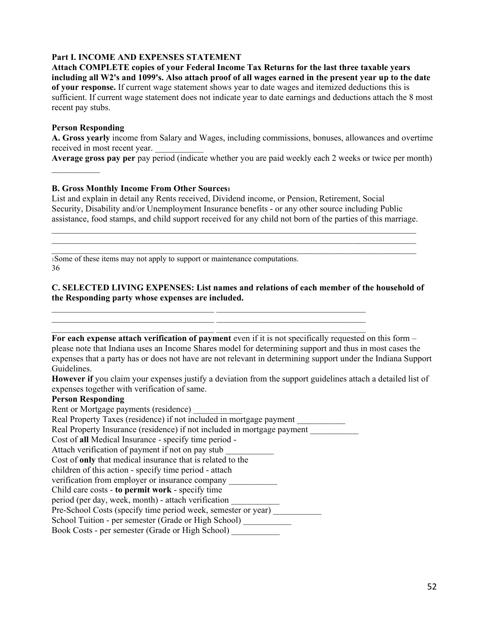### **Part I. INCOME AND EXPENSES STATEMENT**

**Attach COMPLETE copies of your Federal Income Tax Returns for the last three taxable years including all W2's and 1099's. Also attach proof of all wages earned in the present year up to the date of your response.** If current wage statement shows year to date wages and itemized deductions this is sufficient. If current wage statement does not indicate year to date earnings and deductions attach the 8 most recent pay stubs.

### **Person Responding**

 $\frac{1}{2}$ 

**A. Gross yearly** income from Salary and Wages, including commissions, bonuses, allowances and overtime received in most recent year.

**Average gross pay per** pay period (indicate whether you are paid weekly each 2 weeks or twice per month)

### **B. Gross Monthly Income From Other Sources1**

List and explain in detail any Rents received, Dividend income, or Pension, Retirement, Social Security, Disability and/or Unemployment Insurance benefits - or any other source including Public assistance, food stamps, and child support received for any child not born of the parties of this marriage.

 $\_$  $\_$  $\_$ 

1Some of these items may not apply to support or maintenance computations. 36

**C. SELECTED LIVING EXPENSES: List names and relations of each member of the household of the Responding party whose expenses are included.**

 $\_$  , and the set of the set of the set of the set of the set of the set of the set of the set of the set of the set of the set of the set of the set of the set of the set of the set of the set of the set of the set of th For each expense attach verification of payment even if it is not specifically requested on this form – please note that Indiana uses an Income Shares model for determining support and thus in most cases the expenses that a party has or does not have are not relevant in determining support under the Indiana Support Guidelines.

**However if** you claim your expenses justify a deviation from the support guidelines attach a detailed list of expenses together with verification of same.

#### **Person Responding**

Rent or Mortgage payments (residence)

Real Property Taxes (residence) if not included in mortgage payment \_\_\_\_\_\_\_\_\_\_\_

Real Property Insurance (residence) if not included in mortgage payment \_\_\_\_\_\_\_\_\_\_\_

 $\_$  , and the set of the set of the set of the set of the set of the set of the set of the set of the set of the set of the set of the set of the set of the set of the set of the set of the set of the set of the set of th \_\_\_\_\_\_\_\_\_\_\_\_\_\_\_\_\_\_\_\_\_\_\_\_\_\_\_\_\_\_\_\_\_\_\_\_\_ \_\_\_\_\_\_\_\_\_\_\_\_\_\_\_\_\_\_\_\_\_\_\_\_\_\_\_\_\_\_\_\_\_\_

Cost of **all** Medical Insurance - specify time period -

Attach verification of payment if not on pay stub

Cost of **only** that medical insurance that is related to the

children of this action - specify time period - attach

verification from employer or insurance company

Child care costs - **to permit work** - specify time

period (per day, week, month) - attach verification \_\_\_\_\_\_\_\_\_\_\_ Pre-School Costs (specify time period week, semester or year) \_\_\_\_\_\_\_\_\_\_\_\_\_\_\_\_\_\_

School Tuition - per semester (Grade or High School) \_\_\_\_\_\_\_\_\_\_

Book Costs - per semester (Grade or High School) \_\_\_\_\_\_\_\_\_\_\_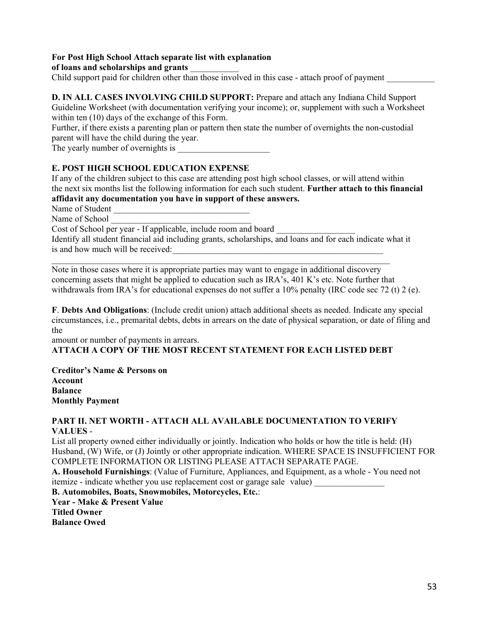## **For Post High School Attach separate list with explanation**

### **of loans and scholarships and grants** \_\_\_\_\_\_\_\_\_\_\_

Child support paid for children other than those involved in this case - attach proof of payment

**D. IN ALL CASES INVOLVING CHILD SUPPORT:** Prepare and attach any Indiana Child Support Guideline Worksheet (with documentation verifying your income); or, supplement with such a Worksheet within ten (10) days of the exchange of this Form.

Further, if there exists a parenting plan or pattern then state the number of overnights the non-custodial parent will have the child during the year.

The yearly number of overnights is

## **E. POST HIGH SCHOOL EDUCATION EXPENSE**

If any of the children subject to this case are attending post high school classes, or will attend within the next six months list the following information for each such student. **Further attach to this financial affidavit any documentation you have in support of these answers.**

Name of Student

Name of School

Cost of School per year - If applicable, include room and board

Identify all student financial aid including grants, scholarships, and loans and for each indicate what it is and how much will be received:

\_\_\_\_\_\_\_\_\_\_\_\_\_\_\_\_\_\_\_\_\_\_\_\_\_\_\_\_\_\_\_\_\_\_\_\_\_\_\_\_\_\_\_\_\_\_\_\_\_\_\_\_\_\_\_\_\_\_\_\_\_\_\_\_\_\_\_\_\_\_\_\_\_\_\_\_\_

Note in those cases where it is appropriate parties may want to engage in additional discovery concerning assets that might be applied to education such as IRA's, 401 K's etc. Note further that withdrawals from IRA's for educational expenses do not suffer a 10% penalty (IRC code sec 72 (t) 2 (e).

**F**. **Debts And Obligations**: (Include credit union) attach additional sheets as needed. Indicate any special circumstances, i.e., premarital debts, debts in arrears on the date of physical separation, or date of filing and the

amount or number of payments in arrears. **ATTACH A COPY OF THE MOST RECENT STATEMENT FOR EACH LISTED DEBT**

**Creditor's Name & Persons on Account Balance Monthly Payment**

### **PART II. NET WORTH - ATTACH ALL AVAILABLE DOCUMENTATION TO VERIFY VALUES** -

List all property owned either individually or jointly. Indication who holds or how the title is held: (H) Husband, (W) Wife, or (J) Jointly or other appropriate indication. WHERE SPACE IS INSUFFICIENT FOR COMPLETE INFORMATION OR LISTING PLEASE ATTACH SEPARATE PAGE.

**A. Household Furnishings**: (Value of Furniture, Appliances, and Equipment, as a whole - You need not itemize - indicate whether you use replacement cost or garage sale value)

**B. Automobiles, Boats, Snowmobiles, Motorcycles, Etc.**:

**Year - Make & Present Value Titled Owner Balance Owed**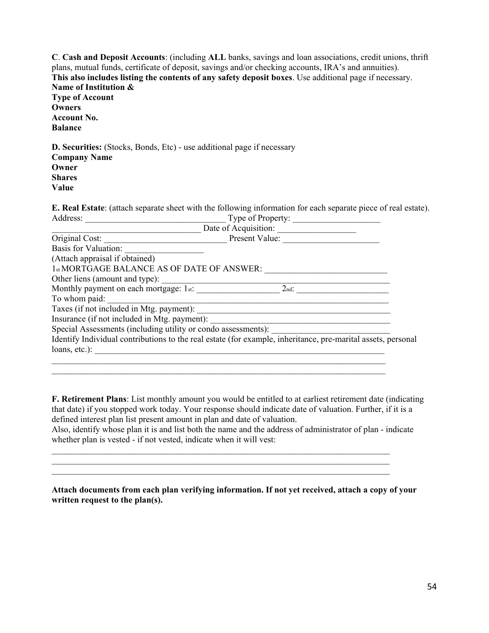**C**. **Cash and Deposit Accounts**: (including **ALL** banks, savings and loan associations, credit unions, thrift plans, mutual funds, certificate of deposit, savings and/or checking accounts, IRA's and annuities). **This also includes listing the contents of any safety deposit boxes**. Use additional page if necessary. **Name of Institution & Type of Account Owners Account No. Balance D. Securities:** (Stocks, Bonds, Etc) - use additional page if necessary

**Company Name Owner Shares Value**

**E. Real Estate**: (attach separate sheet with the following information for each separate piece of real estate). Address: Type of Property:

| Original Cost:                                                | Present Value:                                                                                               |  |
|---------------------------------------------------------------|--------------------------------------------------------------------------------------------------------------|--|
| <b>Basis for Valuation:</b>                                   |                                                                                                              |  |
| (Attach appraisal if obtained)                                |                                                                                                              |  |
| 1st MORTGAGE BALANCE AS OF DATE OF ANSWER:                    |                                                                                                              |  |
| Other liens (amount and type):                                |                                                                                                              |  |
| Monthly payment on each mortgage: 1st:                        | $2nd$ :                                                                                                      |  |
| To whom paid:                                                 |                                                                                                              |  |
| Taxes (if not included in Mtg. payment):                      |                                                                                                              |  |
| Insurance (if not included in Mtg. payment):                  |                                                                                                              |  |
| Special Assessments (including utility or condo assessments): |                                                                                                              |  |
|                                                               | Identify Individual contributions to the real estate (for example, inheritance, pre-marital assets, personal |  |
| loans, etc.):                                                 |                                                                                                              |  |
|                                                               |                                                                                                              |  |

**F. Retirement Plans**: List monthly amount you would be entitled to at earliest retirement date (indicating that date) if you stopped work today. Your response should indicate date of valuation. Further, if it is a defined interest plan list present amount in plan and date of valuation.

Also, identify whose plan it is and list both the name and the address of administrator of plan - indicate whether plan is vested - if not vested, indicate when it will vest:

\_\_\_\_\_\_\_\_\_\_\_\_\_\_\_\_\_\_\_\_\_\_\_\_\_\_\_\_\_\_\_\_\_\_\_\_\_\_\_\_\_\_\_\_\_\_\_\_\_\_\_\_\_\_\_\_\_\_\_\_\_\_\_\_\_\_\_\_\_\_\_\_\_\_\_\_\_  $\_$  $\_$ 

\_\_\_\_\_\_\_\_\_\_\_\_\_\_\_\_\_\_\_\_\_\_\_\_\_\_\_\_\_\_\_\_\_\_\_\_\_\_\_\_\_\_\_\_\_\_\_\_\_\_\_\_\_\_\_\_\_\_\_\_\_\_\_\_\_\_\_\_\_\_\_\_\_\_\_\_

| Attach documents from each plan verifying information. If not yet received, attach a copy of your |  |  |
|---------------------------------------------------------------------------------------------------|--|--|
| written request to the plan(s).                                                                   |  |  |